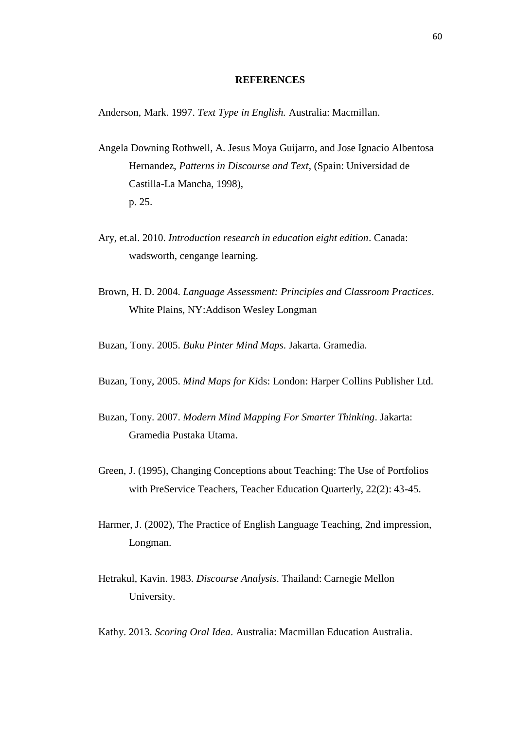## **REFERENCES**

Anderson, Mark. 1997. *Text Type in English.* Australia: Macmillan.

- Angela Downing Rothwell, A. Jesus Moya Guijarro, and Jose Ignacio Albentosa Hernandez, *Patterns in Discourse and Text*, (Spain: Universidad de Castilla-La Mancha, 1998), p. 25.
- Ary, et.al. 2010. *Introduction research in education eight edition*. Canada: wadsworth, cengange learning.
- Brown, H. D. 2004. *Language Assessment: Principles and Classroom Practices*. White Plains, NY:Addison Wesley Longman
- Buzan, Tony. 2005. *Buku Pinter Mind Maps*. Jakarta. Gramedia.
- Buzan, Tony, 2005. *Mind Maps for Ki*ds: London: Harper Collins Publisher Ltd.
- Buzan, Tony. 2007. *Modern Mind Mapping For Smarter Thinking*. Jakarta: Gramedia Pustaka Utama.
- Green, J. (1995), Changing Conceptions about Teaching: The Use of Portfolios with PreService Teachers, Teacher Education Quarterly, 22(2): 43-45.
- Harmer, J. (2002), The Practice of English Language Teaching, 2nd impression, Longman.
- Hetrakul, Kavin. 1983. *Discourse Analysis*. Thailand: Carnegie Mellon University.
- Kathy. 2013. *Scoring Oral Idea*. Australia: Macmillan Education Australia.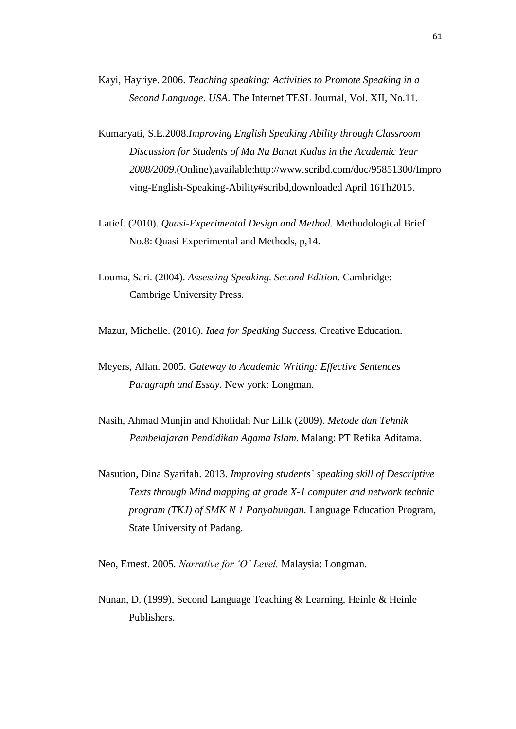- Kayi, Hayriye. 2006. *Teaching speaking: Activities to Promote Speaking in a Second Language. USA*. The Internet TESL Journal, Vol. XII, No.11.
- Kumaryati, S.E.2008.*Improving English Speaking Ability through Classroom Discussion for Students of Ma Nu Banat Kudus in the Academic Year 2008/2009*.(Online),available:http://www.scribd.com/doc/95851300/Impro ving-English-Speaking-Ability#scribd,downloaded April 16Th2015.
- Latief. (2010). *Quasi-Experimental Design and Method.* Methodological Brief No.8: Quasi Experimental and Methods, p,14.
- Louma, Sari. (2004). *Assessing Speaking. Second Edition.* Cambridge: Cambrige University Press.

Mazur, Michelle. (2016). *Idea for Speaking Success.* Creative Education.

- Meyers, Allan. 2005. *Gateway to Academic Writing: Effective Sentences Paragraph and Essay.* New york: Longman.
- Nasih, Ahmad Munjin and Kholidah Nur Lilik (2009)*. Metode dan Tehnik Pembelajaran Pendidikan Agama Islam.* Malang: PT Refika Aditama.
- Nasution, Dina Syarifah. 2013. *Improving students` speaking skill of Descriptive Texts through Mind mapping at grade X-1 computer and network technic program (TKJ) of SMK N 1 Panyabungan.* Language Education Program, State University of Padang.

Neo, Ernest. 2005. *Narrative for 'O' Level.* Malaysia: Longman.

Nunan, D. (1999), Second Language Teaching & Learning, Heinle & Heinle Publishers.